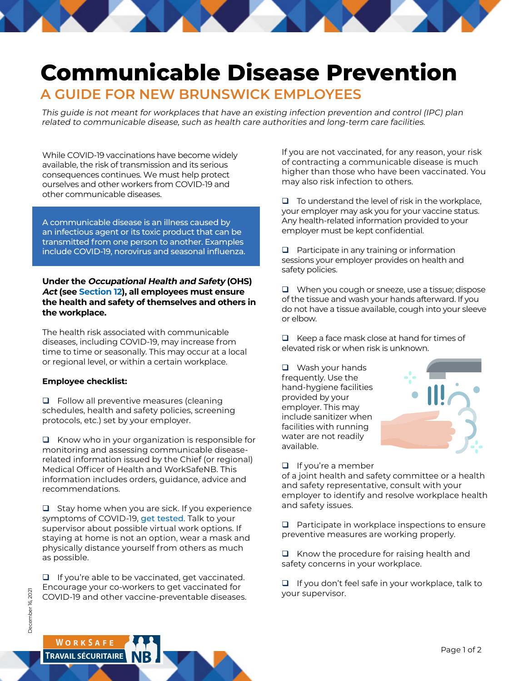## **Communicable Disease Prevention**

## **A GUIDE FOR NEW BRUNSWICK EMPLOYEES**

This guide is not meant for workplaces that have an existing infection prevention and control (IPC) plan related to communicable disease, such as health care authorities and long-term care facilities.

While COVID-19 vaccinations have become widely available, the risk of transmission and its serious consequences continues. We must help protect ourselves and other workers from COVID-19 and other communicable diseases.

A communicable disease is an illness caused by an infectious agent or its toxic product that can be transmitted from one person to another. Examples include COVID-19, norovirus and seasonal influenza.

## **Under the Occupational Health and Safety (OHS) Act (se[e Section 12\),](http://laws.gnb.ca/en/showfulldoc/cs/O-0.2/#anchorse:12) all employees must ensure the health and safety of themselves and others in the workplace.**

The health risk associated with communicable diseases, including COVID-19, may increase from time to time or seasonally. This may occur at a local or regional level, or within a certain workplace.

## **Employee checklist:**

 $\Box$  Follow all preventive measures (cleaning schedules, health and safety policies, screening protocols, etc.) set by your employer.

 $\Box$  Know who in your organization is responsible for monitoring and assessing communicable diseaserelated information issued by the Chief (or regional) Medical Officer of Health and WorkSafeNB. This information includes orders, guidance, advice and recommendations.

 $\Box$  Stay home when you are sick. If you experience symptoms of COVID-19, [get tested](https://www2.gnb.ca/content/gnb/en/corporate/promo/covid-19/about-covid-19/testing-tracing.html?subject=). Talk to your supervisor about possible virtual work options. If staying at home is not an option, wear a mask and physically distance yourself from others as much as possible.

 $\Box$  If you're able to be vaccinated, get vaccinated. Encourage your co-workers to get vaccinated for COVID-19 and other vaccine-preventable diseases. If you are not vaccinated, for any reason, your risk of contracting a communicable disease is much higher than those who have been vaccinated. You may also risk infection to others.

 $\Box$  To understand the level of risk in the workplace, your employer may ask you for your vaccine status. Any health-related information provided to your employer must be kept confidential.

 $\Box$  Participate in any training or information sessions your employer provides on health and safety policies.

 $\Box$  When you cough or sneeze, use a tissue; dispose of the tissue and wash your hands afterward. If you do not have a tissue available, cough into your sleeve or elbow.

 $\Box$  Keep a face mask close at hand for times of elevated risk or when risk is unknown.

 $\Box$  Wash your hands frequently. Use the hand-hygiene facilities provided by your employer. This may include sanitizer when facilities with running water are not readily available.



of a joint health and safety committee or a health and safety representative, consult with your employer to identify and resolve workplace health and safety issues.

 $\Box$  Participate in workplace inspections to ensure preventive measures are working properly.

 $\Box$  Know the procedure for raising health and safety concerns in your workplace.

 $\Box$  If you don't feel safe in your workplace, talk to your supervisor.